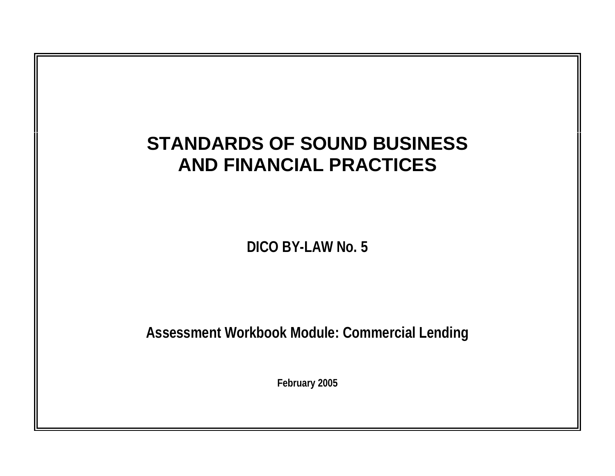## **STANDARDS OF SOUND BUSINESS AND FINANCIAL PRACTICES**

**DICO BY-LAW No. 5** 

**Assessment Workbook Module: Commercial Lending** 

**February 2005**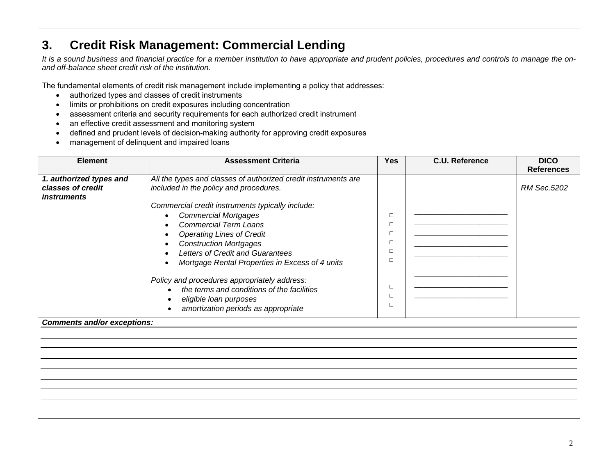## **3. Credit Risk Management: Commercial Lending**

*It is a sound business and financial practice for a member institution to have appropriate and prudent policies, procedures and controls to manage the onand off-balance sheet credit risk of the institution.* 

The fundamental elements of credit risk management include implementing a policy that addresses:

- authorized types and classes of credit instruments
- limits or prohibitions on credit exposures including concentration
- assessment criteria and security requirements for each authorized credit instrument
- an effective credit assessment and monitoring system
- defined and prudent levels of decision-making authority for approving credit exposures
- management of delinquent and impaired loans

| <b>Element</b>                               | <b>Assessment Criteria</b>                                                                               | <b>Yes</b> | <b>C.U. Reference</b> | <b>DICO</b><br><b>References</b> |
|----------------------------------------------|----------------------------------------------------------------------------------------------------------|------------|-----------------------|----------------------------------|
| 1. authorized types and<br>classes of credit | All the types and classes of authorized credit instruments are<br>included in the policy and procedures. |            |                       | RM Sec.5202                      |
| <i>instruments</i>                           |                                                                                                          |            |                       |                                  |
|                                              | Commercial credit instruments typically include:                                                         |            |                       |                                  |
|                                              | <b>Commercial Mortgages</b>                                                                              | $\Box$     |                       |                                  |
|                                              | <b>Commercial Term Loans</b>                                                                             | $\Box$     |                       |                                  |
|                                              | <b>Operating Lines of Credit</b>                                                                         | $\Box$     |                       |                                  |
|                                              | <b>Construction Mortgages</b>                                                                            | $\Box$     |                       |                                  |
|                                              | Letters of Credit and Guarantees                                                                         | $\Box$     |                       |                                  |
|                                              | Mortgage Rental Properties in Excess of 4 units                                                          | $\Box$     |                       |                                  |
|                                              | Policy and procedures appropriately address:                                                             | $\Box$     |                       |                                  |
|                                              | the terms and conditions of the facilities                                                               | $\Box$     |                       |                                  |
|                                              | eligible loan purposes                                                                                   | $\Box$     |                       |                                  |
|                                              | amortization periods as appropriate                                                                      |            |                       |                                  |
| <b>Comments and/or exceptions:</b>           |                                                                                                          |            |                       |                                  |
|                                              |                                                                                                          |            |                       |                                  |
|                                              |                                                                                                          |            |                       |                                  |
|                                              |                                                                                                          |            |                       |                                  |
|                                              |                                                                                                          |            |                       |                                  |
|                                              |                                                                                                          |            |                       |                                  |
|                                              |                                                                                                          |            |                       |                                  |
|                                              |                                                                                                          |            |                       |                                  |
|                                              |                                                                                                          |            |                       |                                  |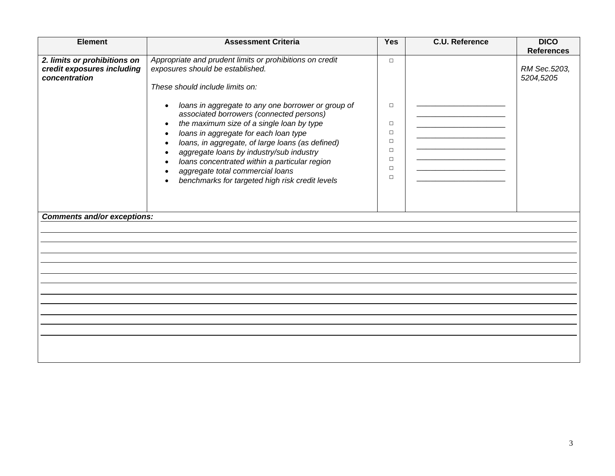| <b>Element</b>                                                              | <b>Assessment Criteria</b>                                                                                                                                                                                                                                                                                                                                                                                                                | <b>Yes</b>                                                                   | <b>C.U. Reference</b> | <b>DICO</b>                                    |
|-----------------------------------------------------------------------------|-------------------------------------------------------------------------------------------------------------------------------------------------------------------------------------------------------------------------------------------------------------------------------------------------------------------------------------------------------------------------------------------------------------------------------------------|------------------------------------------------------------------------------|-----------------------|------------------------------------------------|
| 2. limits or prohibitions on<br>credit exposures including<br>concentration | Appropriate and prudent limits or prohibitions on credit<br>exposures should be established.<br>These should include limits on:                                                                                                                                                                                                                                                                                                           | $\Box$                                                                       |                       | <b>References</b><br>RM Sec.5203,<br>5204,5205 |
|                                                                             | loans in aggregate to any one borrower or group of<br>associated borrowers (connected persons)<br>the maximum size of a single loan by type<br>$\bullet$<br>loans in aggregate for each loan type<br>loans, in aggregate, of large loans (as defined)<br>aggregate loans by industry/sub industry<br>loans concentrated within a particular region<br>aggregate total commercial loans<br>benchmarks for targeted high risk credit levels | $\Box$<br>$\Box$<br>$\Box$<br>$\Box$<br>$\Box$<br>$\Box$<br>$\Box$<br>$\Box$ |                       |                                                |
| <b>Comments and/or exceptions:</b>                                          |                                                                                                                                                                                                                                                                                                                                                                                                                                           |                                                                              |                       |                                                |
|                                                                             |                                                                                                                                                                                                                                                                                                                                                                                                                                           |                                                                              |                       |                                                |
|                                                                             |                                                                                                                                                                                                                                                                                                                                                                                                                                           |                                                                              |                       |                                                |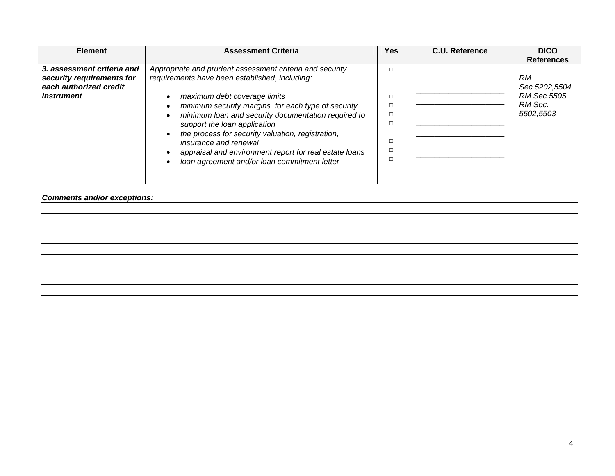| <b>Element</b>                              | <b>Assessment Criteria</b>                                                 | <b>Yes</b>       | <b>C.U. Reference</b> | <b>DICO</b>                  |
|---------------------------------------------|----------------------------------------------------------------------------|------------------|-----------------------|------------------------------|
|                                             |                                                                            |                  |                       | <b>References</b>            |
| 3. assessment criteria and                  | Appropriate and prudent assessment criteria and security                   | $\Box$           |                       |                              |
| security requirements for                   | requirements have been established, including:                             |                  |                       | <b>RM</b>                    |
| each authorized credit<br><i>instrument</i> |                                                                            |                  |                       | Sec.5202,5504<br>RM Sec.5505 |
|                                             | maximum debt coverage limits                                               | $\Box$           |                       | RM Sec.                      |
|                                             | minimum security margins for each type of security                         | $\Box$<br>$\Box$ |                       | 5502,5503                    |
|                                             | minimum loan and security documentation required to                        | $\Box$           |                       |                              |
|                                             | support the loan application                                               |                  |                       |                              |
|                                             | the process for security valuation, registration,<br>insurance and renewal | $\Box$           |                       |                              |
|                                             |                                                                            | $\Box$           |                       |                              |
|                                             | appraisal and environment report for real estate loans                     | $\Box$           |                       |                              |
|                                             | loan agreement and/or loan commitment letter                               |                  |                       |                              |
|                                             |                                                                            |                  |                       |                              |
| <b>Comments and/or exceptions:</b>          |                                                                            |                  |                       |                              |
|                                             |                                                                            |                  |                       |                              |
|                                             |                                                                            |                  |                       |                              |
|                                             |                                                                            |                  |                       |                              |
|                                             |                                                                            |                  |                       |                              |
|                                             |                                                                            |                  |                       |                              |
|                                             |                                                                            |                  |                       |                              |
|                                             |                                                                            |                  |                       |                              |
|                                             |                                                                            |                  |                       |                              |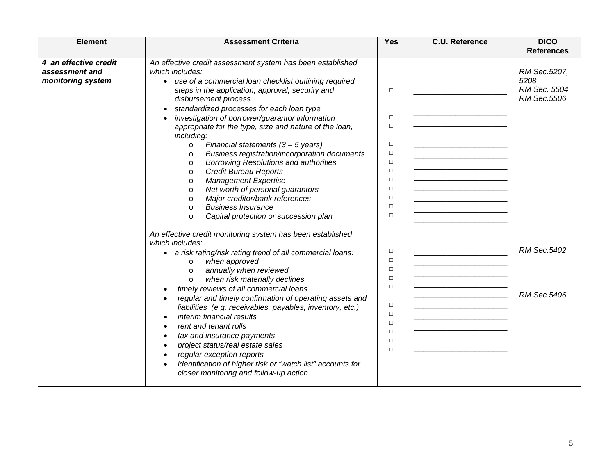| <b>Element</b>                                               | <b>Assessment Criteria</b>                                                                                                                                                                                                                                                                                                                                                                                                                                                                                                                                                                                                                                                                                                                                                                                                                          | <b>Yes</b>                                                                                                           | <b>C.U. Reference</b> | <b>DICO</b><br><b>References</b>                    |
|--------------------------------------------------------------|-----------------------------------------------------------------------------------------------------------------------------------------------------------------------------------------------------------------------------------------------------------------------------------------------------------------------------------------------------------------------------------------------------------------------------------------------------------------------------------------------------------------------------------------------------------------------------------------------------------------------------------------------------------------------------------------------------------------------------------------------------------------------------------------------------------------------------------------------------|----------------------------------------------------------------------------------------------------------------------|-----------------------|-----------------------------------------------------|
| 4 an effective credit<br>assessment and<br>monitoring system | An effective credit assessment system has been established<br>which includes:<br>• use of a commercial loan checklist outlining required<br>steps in the application, approval, security and<br>disbursement process<br>standardized processes for each loan type<br>investigation of borrower/guarantor information<br>appropriate for the type, size and nature of the loan,<br>including:<br>Financial statements $(3 - 5$ years)<br>$\circ$<br>Business registration/incorporation documents<br>$\circ$<br><b>Borrowing Resolutions and authorities</b><br>$\circ$<br><b>Credit Bureau Reports</b><br>$\circ$<br><b>Management Expertise</b><br>$\circ$<br>Net worth of personal guarantors<br>$\circ$<br>Major creditor/bank references<br>$\circ$<br><b>Business Insurance</b><br>$\circ$<br>Capital protection or succession plan<br>$\circ$ | $\Box$<br>$\Box$<br>$\Box$<br>$\Box$<br>$\Box$<br>$\Box$<br>$\Box$<br>$\Box$<br>$\Box$<br>$\Box$<br>$\Box$<br>$\Box$ |                       | RM Sec.5207,<br>5208<br>RM Sec. 5504<br>RM Sec.5506 |
|                                                              | An effective credit monitoring system has been established<br>which includes:<br>a risk rating/risk rating trend of all commercial loans:<br>when approved<br>$\circ$<br>annually when reviewed<br>$\circ$<br>when risk materially declines<br>$\circ$<br>timely reviews of all commercial loans<br>regular and timely confirmation of operating assets and<br>liabilities (e.g. receivables, payables, inventory, etc.)<br>interim financial results<br>rent and tenant rolls<br>tax and insurance payments<br>project status/real estate sales<br>regular exception reports<br>identification of higher risk or "watch list" accounts for<br>closer monitoring and follow-up action                                                                                                                                                               | $\Box$<br>$\Box$<br>$\Box$<br>$\Box$<br>$\Box$<br>$\Box$<br>$\Box$<br>$\Box$<br>$\Box$<br>$\Box$<br>$\Box$           |                       | RM Sec.5402<br><b>RM Sec 5406</b>                   |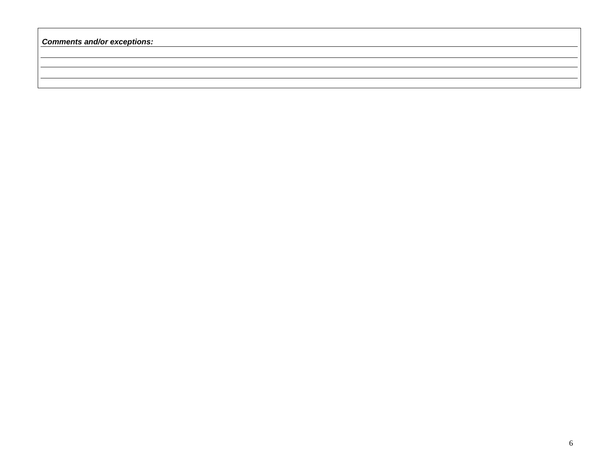*Comments and/or exceptions:*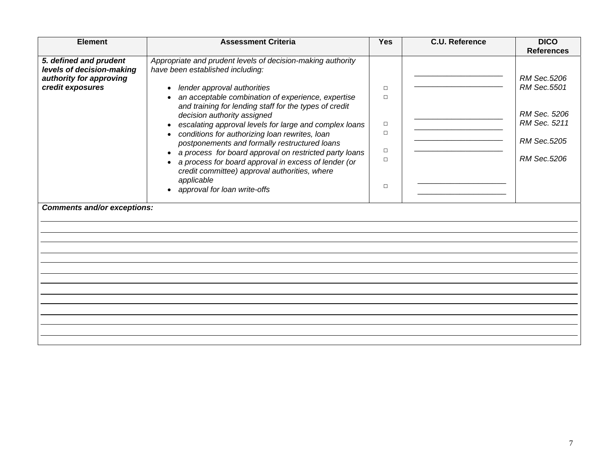| <b>Element</b>                                                                 | <b>Assessment Criteria</b>                                                                                                                                                                                                                                                                                                                                                                                                                                                                                 | <b>Yes</b>                                          | <b>C.U. Reference</b> | <b>DICO</b><br><b>References</b>                                          |
|--------------------------------------------------------------------------------|------------------------------------------------------------------------------------------------------------------------------------------------------------------------------------------------------------------------------------------------------------------------------------------------------------------------------------------------------------------------------------------------------------------------------------------------------------------------------------------------------------|-----------------------------------------------------|-----------------------|---------------------------------------------------------------------------|
| 5. defined and prudent<br>levels of decision-making<br>authority for approving | Appropriate and prudent levels of decision-making authority<br>have been established including:                                                                                                                                                                                                                                                                                                                                                                                                            |                                                     |                       | RM Sec.5206                                                               |
| credit exposures                                                               | lender approval authorities<br>an acceptable combination of experience, expertise<br>and training for lending staff for the types of credit<br>decision authority assigned<br>escalating approval levels for large and complex loans<br>conditions for authorizing loan rewrites, loan<br>postponements and formally restructured loans<br>a process for board approval on restricted party loans<br>a process for board approval in excess of lender (or<br>credit committee) approval authorities, where | $\Box$<br>П<br>$\Box$<br>$\Box$<br>$\Box$<br>$\Box$ |                       | RM Sec.5501<br>RM Sec. 5206<br>RM Sec. 5211<br>RM Sec.5205<br>RM Sec.5206 |
|                                                                                | applicable<br>approval for loan write-offs                                                                                                                                                                                                                                                                                                                                                                                                                                                                 | $\Box$                                              |                       |                                                                           |
| <b>Comments and/or exceptions:</b>                                             |                                                                                                                                                                                                                                                                                                                                                                                                                                                                                                            |                                                     |                       |                                                                           |
|                                                                                |                                                                                                                                                                                                                                                                                                                                                                                                                                                                                                            |                                                     |                       |                                                                           |
|                                                                                |                                                                                                                                                                                                                                                                                                                                                                                                                                                                                                            |                                                     |                       |                                                                           |
|                                                                                |                                                                                                                                                                                                                                                                                                                                                                                                                                                                                                            |                                                     |                       |                                                                           |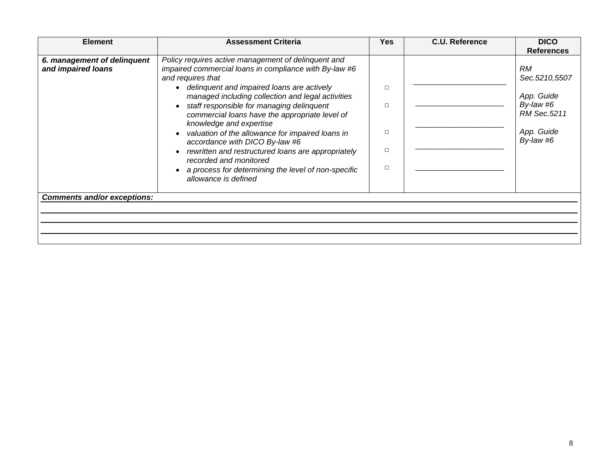| <b>Element</b>                                    | <b>Assessment Criteria</b>                                                                                                         | Yes. | <b>C.U. Reference</b> | <b>DICO</b><br><b>References</b> |
|---------------------------------------------------|------------------------------------------------------------------------------------------------------------------------------------|------|-----------------------|----------------------------------|
| 6. management of delinquent<br>and impaired loans | Policy requires active management of delinquent and<br>impaired commercial loans in compliance with By-law #6<br>and requires that |      |                       | <b>RM</b><br>Sec.5210,5507       |
|                                                   | delinquent and impaired loans are actively<br>managed including collection and legal activities                                    | П    |                       | App. Guide                       |
|                                                   | staff responsible for managing delinquent<br>commercial loans have the appropriate level of<br>knowledge and expertise             | п    |                       | By-law #6<br>RM Sec.5211         |
|                                                   | valuation of the allowance for impaired loans in<br>accordance with DICO By-law #6                                                 | п    |                       | App. Guide<br>By-law #6          |
|                                                   | rewritten and restructured loans are appropriately<br>recorded and monitored                                                       | □    |                       |                                  |
|                                                   | a process for determining the level of non-specific<br>allowance is defined                                                        | п    |                       |                                  |
| <b>Comments and/or exceptions:</b>                |                                                                                                                                    |      |                       |                                  |
|                                                   |                                                                                                                                    |      |                       |                                  |
|                                                   |                                                                                                                                    |      |                       |                                  |
|                                                   |                                                                                                                                    |      |                       |                                  |